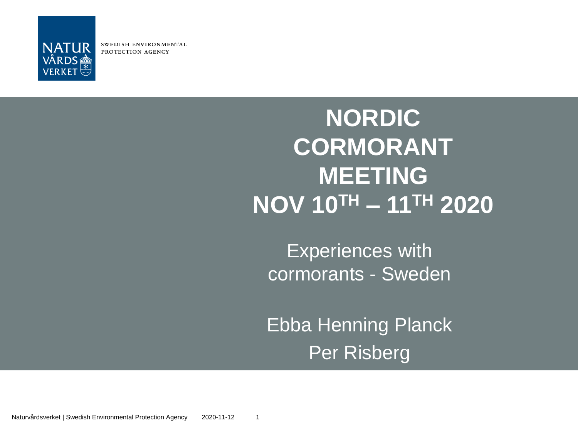

SWEDISH ENVIRONMENTAL PROTECTION AGENCY

#### **NORDIC CORMORANT MEETING NOV 10TH – 11TH 2020**

Experiences with cormorants - Sweden

**Ebba Henning Planck** Per Risberg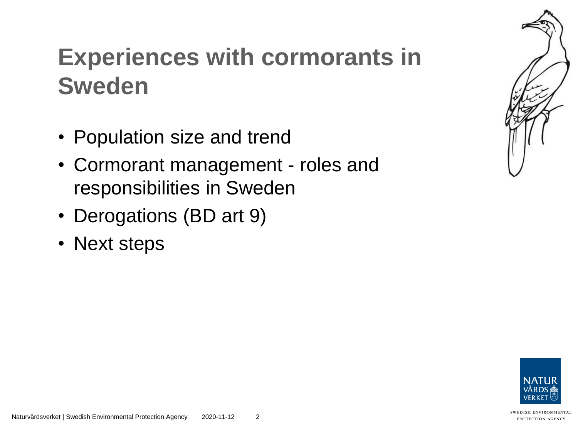#### **Experiences with cormorants in Sweden**

- Population size and trend
- Cormorant management roles and responsibilities in Sweden
- Derogations (BD art 9)
- Next steps



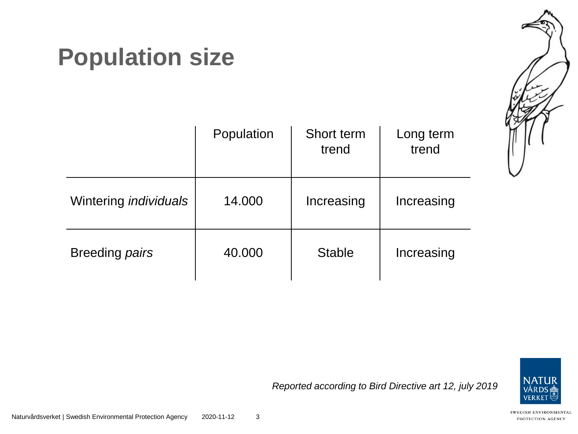#### **Population size**

|                              | Population | Short term<br>trend | Long term<br>trend |
|------------------------------|------------|---------------------|--------------------|
| Wintering <i>individuals</i> | 14.000     | Increasing          | Increasing         |
| Breeding <i>pairs</i>        | 40.000     | <b>Stable</b>       | Increasing         |



*Reported according to Bird Directive art 12, july 2019*



Naturvårdsverket | Swedish Environmental Protection Agency 2020-11-12 3

SWEDISH ENVIRONMENTAL PROTECTION AGENCY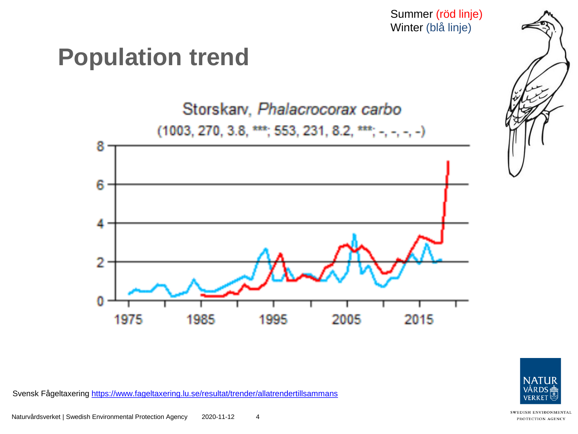Summer (röd linje) Winter (blå linje)

#### **Population trend**



![](_page_3_Picture_3.jpeg)

Svensk Fågeltaxering<https://www.fageltaxering.lu.se/resultat/trender/allatrendertillsammans>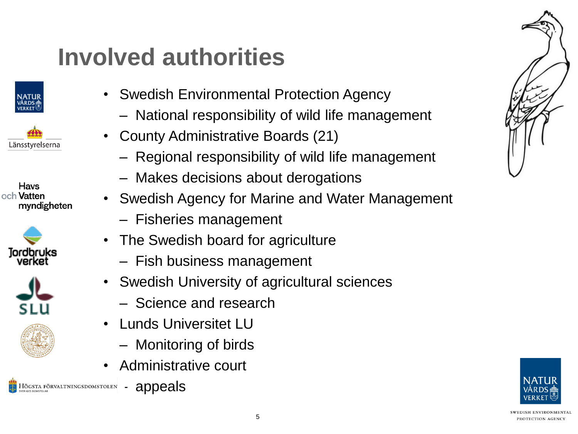## **Involved authorities**

![](_page_4_Picture_1.jpeg)

Länsstyrelserna

![](_page_4_Picture_3.jpeg)

![](_page_4_Picture_4.jpeg)

![](_page_4_Picture_5.jpeg)

![](_page_4_Picture_6.jpeg)

• Swedish Environmental Protection Agency

- National responsibility of wild life management
- County Administrative Boards (21)
	- Regional responsibility of wild life management
	- Makes decisions about derogations
- Swedish Agency for Marine and Water Management
	- Fisheries management
- The Swedish board for agriculture
	- Fish business management
- Swedish University of agricultural sciences
	- Science and research
- Lunds Universitet LU
	- Monitoring of birds
- Administrative court

![](_page_4_Picture_21.jpeg)

![](_page_4_Picture_22.jpeg)

![](_page_4_Picture_23.jpeg)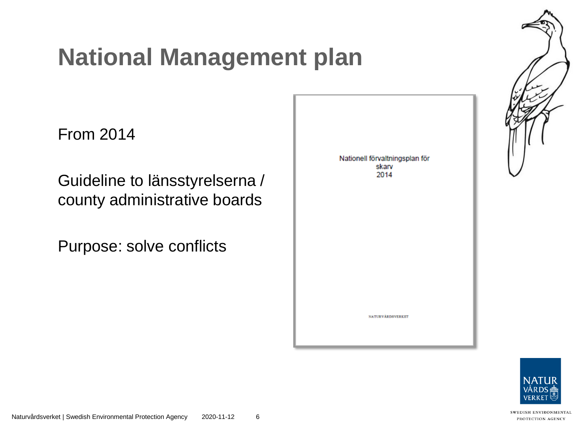#### **National Management plan**

From 2014

Guideline to länsstyrelserna / county administrative boards

Purpose: solve conflicts

Nationell förvaltningsplan för skarv 2014

**NATURVÅRDSVERKET** 

![](_page_5_Picture_6.jpeg)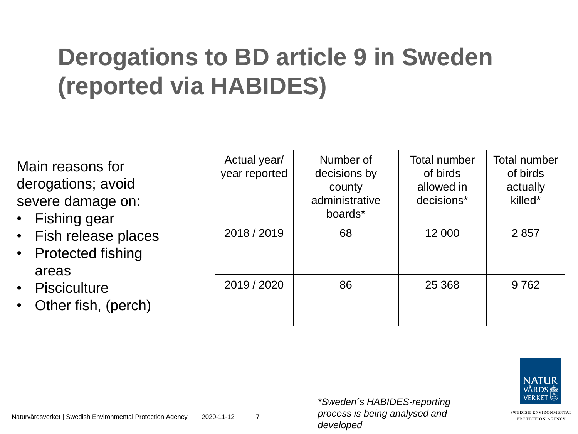## **Derogations to BD article 9 in Sweden (reported via HABIDES)**

| Main reasons for<br>derogations; avoid<br>severe damage on:<br>• Fishing gear<br>• Fish release places<br>• Protected fishing<br>areas<br>• Pisciculture<br>• Other fish, (perch) | Actual year/<br>year reported | Number of<br>decisions by<br>county<br>administrative<br>boards* | <b>Total number</b><br>of birds<br>allowed in<br>decisions* | <b>Total number</b><br>of birds<br>actually<br>killed* |
|-----------------------------------------------------------------------------------------------------------------------------------------------------------------------------------|-------------------------------|------------------------------------------------------------------|-------------------------------------------------------------|--------------------------------------------------------|
|                                                                                                                                                                                   | 2018 / 2019                   | 68                                                               | 12 000                                                      | 2857                                                   |
|                                                                                                                                                                                   | 2019 / 2020                   | 86                                                               | 25 3 68                                                     | 9762                                                   |

![](_page_6_Picture_2.jpeg)

SWEDISH ENVIRONMENTAL PROTECTION AGENCY

*\*Sweden´s HABIDES-reporting process is being analysed and developed*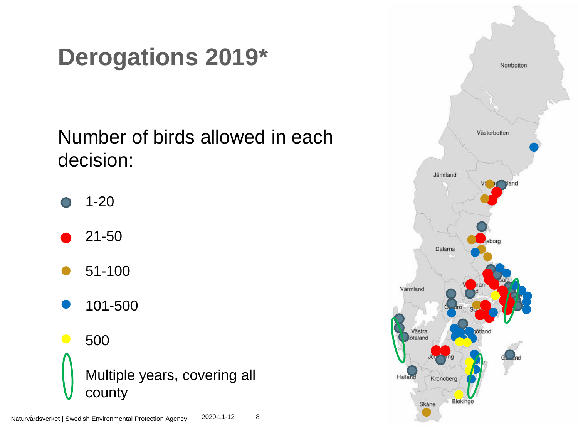### **Derogations 2019\***

#### Number of birds allowed in each decision:

- 1-20
- 21-50
- 51-100
- 101-500

500 Multiple years, covering all county

![](_page_7_Picture_7.jpeg)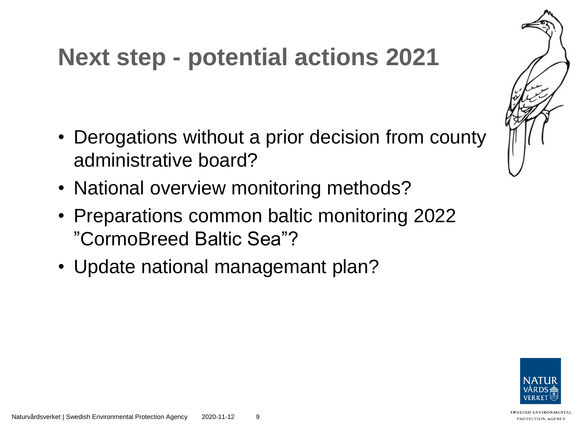#### **Next step - potential actions 2021**

- Derogations without a prior decision from county administrative board?
- National overview monitoring methods?
- Preparations common baltic monitoring 2022 "CormoBreed Baltic Sea"?
- Update national managemant plan?

![](_page_8_Picture_5.jpeg)